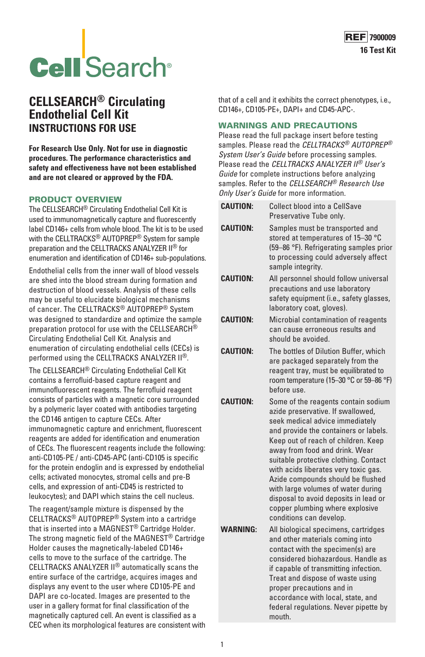

# **Cell** Search<sup>®</sup>

# **CELLSEARCH® Circulating Endothelial Cell Kit INSTRUCTIONS FOR USE**

**For Research Use Only. Not for use in diagnostic procedures. The performance characteristics and safety and effectiveness have not been established and are not cleared or approved by the FDA.**

#### PRODUCT OVERVIEW

The CELLSEARCH® Circulating Endothelial Cell Kit is used to immunomagnetically capture and fluorescently label CD146+ cells from whole blood. The kit is to be used with the CELLTRACKS<sup>®</sup> AUTOPREP<sup>®</sup> System for sample preparation and the CELLTRACKS ANALYZER II® for enumeration and identification of CD146+ sub-populations.

Endothelial cells from the inner wall of blood vessels are shed into the blood stream during formation and destruction of blood vessels. Analysis of these cells may be useful to elucidate biological mechanisms of cancer. The CELLTRACKS® AUTOPREP® System was designed to standardize and optimize the sample preparation protocol for use with the CELLSEARCH® Circulating Endothelial Cell Kit. Analysis and enumeration of circulating endothelial cells (CECs) is performed using the CELLTRACKS ANALYZER II®.

The CELLSEARCH® Circulating Endothelial Cell Kit contains a ferrofluid-based capture reagent and immunofluorescent reagents. The ferrofluid reagent consists of particles with a magnetic core surrounded by a polymeric layer coated with antibodies targeting the CD146 antigen to capture CECs. After immunomagnetic capture and enrichment, fluorescent reagents are added for identification and enumeration of CECs. The fluorescent reagents include the following: anti-CD105-PE / anti-CD45-APC (anti-CD105 is specific for the protein endoglin and is expressed by endothelial cells; activated monocytes, stromal cells and pre-B cells, and expression of anti-CD45 is restricted to leukocytes); and DAPI which stains the cell nucleus.

The reagent/sample mixture is dispensed by the CELLTRACKS® AUTOPREP® System into a cartridge that is inserted into a MAGNEST® Cartridge Holder. The strong magnetic field of the MAGNEST® Cartridge Holder causes the magnetically-labeled CD146+ cells to move to the surface of the cartridge. The CELLTRACKS ANALYZER II® automatically scans the entire surface of the cartridge, acquires images and displays any event to the user where CD105-PE and DAPI are co-located. Images are presented to the user in a gallery format for final classification of the magnetically captured cell. An event is classified as a CEC when its morphological features are consistent with that of a cell and it exhibits the correct phenotypes, i.e., CD146+, CD105-PE+, DAPI+ and CD45-APC-.

#### WARNINGS AND PRECAUTIONS

Please read the full package insert before testing samples. Please read the *CELLTRACKS® AUTOPREP® System User's Guide* before processing samples. Please read the *CELLTRACKS ANALYZER II® User's Guide* for complete instructions before analyzing samples. Refer to the *CELLSEARCH® Research Use Only User's Guide* for more information.

- **CAUTION:** Collect blood into a CellSave Preservative Tube only. **CAUTION:** Samples must be transported and stored at temperatures of 15–30 °C (59–86 °F). Refrigerating samples prior to processing could adversely affect sample integrity. **CAUTION:** All personnel should follow universal precautions and use laboratory safety equipment (i.e., safety glasses, laboratory coat, gloves). **CAUTION:** Microbial contamination of reagents can cause erroneous results and should be avoided. **CAUTION:** The bottles of Dilution Buffer, which are packaged separately from the reagent tray, must be equilibrated to room temperature (15–30 °C or 59–86 °F) before use. **CAUTION:** Some of the reagents contain sodium azide preservative. If swallowed, seek medical advice immediately and provide the containers or labels. Keep out of reach of children. Keep away from food and drink. Wear suitable protective clothing. Contact with acids liberates very toxic gas. Azide compounds should be flushed with large volumes of water during disposal to avoid deposits in lead or copper plumbing where explosive conditions can develop. **WARNING:** All biological specimens, cartridges and other materials coming into
- contact with the specimen(s) are considered biohazardous. Handle as if capable of transmitting infection. Treat and dispose of waste using proper precautions and in accordance with local, state, and federal regulations. Never pipette by mouth.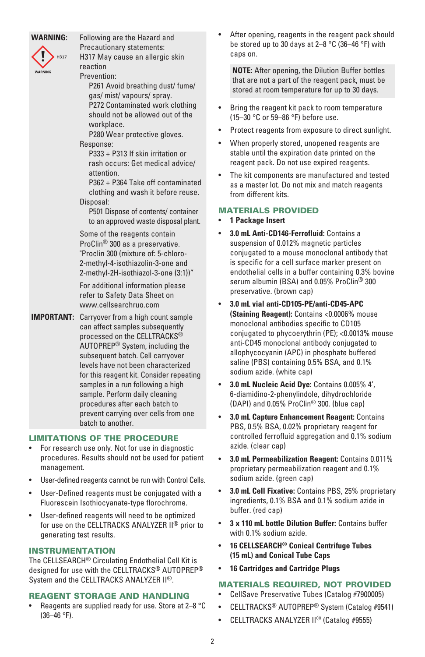#### **WARNING:** Following are the Hazard and

**H317** 

Precautionary statements:

H317 May cause an allergic skin reaction

Prevention:

P261 Avoid breathing dust/ fume/ gas/ mist/ vapours/ spray. P272 Contaminated work clothing should not be allowed out of the workplace.

P280 Wear protective gloves.

Response:

P333 + P313 If skin irritation or rash occurs: Get medical advice/ attention.

P362 + P364 Take off contaminated clothing and wash it before reuse. Disposal:

P501 Dispose of contents/ container to an approved waste disposal plant.

Some of the reagents contain ProClin® 300 as a preservative. "Proclin 300 (mixture of: 5-chloro-2-methyl-4-isothiazolin-3-one and 2-methyl-2H-isothiazol-3-one (3:1))"

For additional information please refer to Safety Data Sheet on www.cellsearchruo.com

**IMPORTANT:** Carryover from a high count sample can affect samples subsequently processed on the CELLTRACKS® AUTOPREP® System, including the subsequent batch. Cell carryover levels have not been characterized for this reagent kit. Consider repeating samples in a run following a high sample. Perform daily cleaning procedures after each batch to prevent carrying over cells from one batch to another.

#### LIMITATIONS OF THE PROCEDURE

- For research use only. Not for use in diagnostic procedures. Results should not be used for patient management.
- User-defined reagents cannot be run with Control Cells.
- User-Defined reagents must be conjugated with a Fluorescein Isothiocyanate-type florochrome.
- User-defined reagents will need to be optimized for use on the CELLTRACKS ANALYZER II® prior to generating test results.

#### INSTRUMENTATION

The CELLSEARCH® Circulating Endothelial Cell Kit is designed for use with the CELLTRACKS® AUTOPREP® System and the CELLTRACKS ANALYZER II<sup>®</sup>.

# REAGENT STORAGE AND HANDLING

• Reagents are supplied ready for use. Store at 2–8 °C (36–46 °F).

After opening, reagents in the reagent pack should be stored up to 30 days at 2–8 °C (36–46 °F) with caps on.

**NOTE:** After opening, the Dilution Buffer bottles that are not a part of the reagent pack, must be stored at room temperature for up to 30 days.

- Bring the reagent kit pack to room temperature (15–30 °C or 59–86 °F) before use.
- Protect reagents from exposure to direct sunlight.
- When properly stored, unopened reagents are stable until the expiration date printed on the reagent pack. Do not use expired reagents.
- The kit components are manufactured and tested as a master lot. Do not mix and match reagents from different kits.

# MATERIALS PROVIDED

- **1 Package Insert**
- **3.0 mL Anti-CD146-Ferrofluid:** Contains a suspension of 0.012% magnetic particles conjugated to a mouse monoclonal antibody that is specific for a cell surface marker present on endothelial cells in a buffer containing 0.3% bovine serum albumin (BSA) and 0.05% ProClin® 300 preservative. (brown cap)
- **3.0 mL vial anti-CD105-PE/anti-CD45-APC (Staining Reagent):** Contains <0.0006% mouse monoclonal antibodies specific to CD105 conjugated to phycoerythrin (PE); <0.0013% mouse anti-CD45 monoclonal antibody conjugated to allophycocyanin (APC) in phosphate buffered saline (PBS) containing 0.5% BSA, and 0.1% sodium azide. (white cap)
- **3.0 mL Nucleic Acid Dye:** Contains 0.005% 4', 6-diamidino-2-phenylindole, dihydrochloride (DAPI) and 0.05% ProClin® 300. (blue cap)
- **3.0 mL Capture Enhancement Reagent:** Contains PBS, 0.5% BSA, 0.02% proprietary reagent for controlled ferrofluid aggregation and 0.1% sodium azide. (clear cap)
- **3.0 mL Permeabilization Reagent:** Contains 0.011% proprietary permeabilization reagent and 0.1% sodium azide. (green cap)
- **3.0 mL Cell Fixative:** Contains PBS, 25% proprietary ingredients, 0.1% BSA and 0.1% sodium azide in buffer. (red cap)
- **3 x 110 mL bottle Dilution Buffer:** Contains buffer with 0.1% sodium azide.
- **16 CELLSEARCH® Conical Centrifuge Tubes (15 mL) and Conical Tube Caps**
- **16 Cartridges and Cartridge Plugs**

# MATERIALS REQUIRED, NOT PROVIDED

- CellSave Preservative Tubes (Catalog #7900005)
- CELLTRACKS® AUTOPREP® System (Catalog #9541)
- CELLTRACKS ANALYZER II® (Catalog #9555)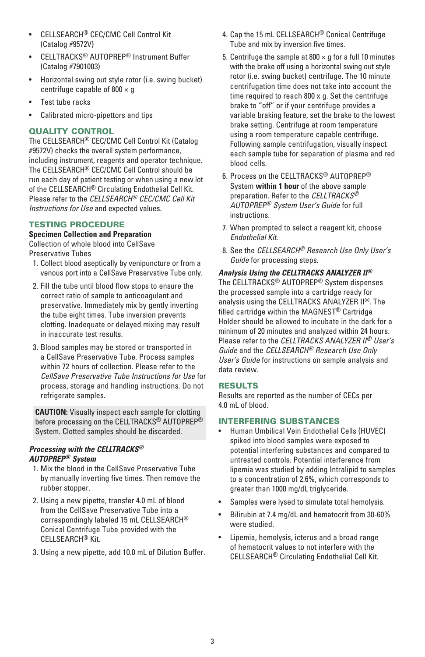- CELLSEARCH® CEC/CMC Cell Control Kit (Catalog #9572V)
- CELLTRACKS® AUTOPREP® Instrument Buffer (Catalog #7901003)
- Horizontal swing out style rotor (i.e. swing bucket) centrifuge capable of  $800 \times g$
- Test tube racks
- Calibrated micro-pipettors and tips

# QUALITY CONTROL

The CELLSEARCH® CEC/CMC Cell Control Kit (Catalog #9572V) checks the overall system performance, including instrument, reagents and operator technique. The CELLSEARCH® CEC/CMC Cell Control should be run each day of patient testing or when using a new lot of the CELLSEARCH® Circulating Endothelial Cell Kit. Please refer to the *CELLSEARCH® CEC/CMC Cell Kit Instructions for Use* and expected values.

# TESTING PROCEDURE

# **Specimen Collection and Preparation**

Collection of whole blood into CellSave Preservative Tubes

- 1. Collect blood aseptically by venipuncture or from a venous port into a CellSave Preservative Tube only.
- 2. Fill the tube until blood flow stops to ensure the correct ratio of sample to anticoagulant and preservative. Immediately mix by gently inverting the tube eight times. Tube inversion prevents clotting. Inadequate or delayed mixing may result in inaccurate test results.
- 3. Blood samples may be stored or transported in a CellSave Preservative Tube. Process samples within 72 hours of collection. Please refer to the *CellSave Preservative Tube Instructions for Use* for process, storage and handling instructions. Do not refrigerate samples.

**CAUTION:** Visually inspect each sample for clotting before processing on the CELLTRACKS® AUTOPREP® System. Clotted samples should be discarded.

#### *Processing with the CELLTRACKS® AUTOPREP® System*

- 1. Mix the blood in the CellSave Preservative Tube by manually inverting five times. Then remove the rubber stopper.
- 2. Using a new pipette, transfer 4.0 mL of blood from the CellSave Preservative Tube into a correspondingly labeled 15 mL CELLSEARCH® Conical Centrifuge Tube provided with the CELLSEARCH® Kit.
- 3. Using a new pipette, add 10.0 mL of Dilution Buffer.
- 4. Cap the 15 mL CELLSEARCH® Conical Centrifuge Tube and mix by inversion five times.
- 5. Centrifuge the sample at  $800 \times g$  for a full 10 minutes with the brake off using a horizontal swing out style rotor (i.e. swing bucket) centrifuge. The 10 minute centrifugation time does not take into account the time required to reach 800 x g. Set the centrifuge brake to "off" or if your centrifuge provides a variable braking feature, set the brake to the lowest brake setting. Centrifuge at room temperature using a room temperature capable centrifuge. Following sample centrifugation, visually inspect each sample tube for separation of plasma and red blood cells.
- 6. Process on the CELLTRACKS® AUTOPREP® System **within 1 hour** of the above sample preparation. Refer to the *CELLTRACKS® AUTOPREP® System User's Guide* for full instructions.
- 7. When prompted to select a reagent kit, choose *Endothelial Kit.*
- 8. See the *CELLSEARCH® Research Use Only User's Guide* for processing steps.

#### *Analysis Using the CELLTRACKS ANALYZER II®* The CELLTRACKS® AUTOPREP® System dispenses the processed sample into a cartridge ready for analysis using the CELLTRACKS ANALYZER II®. The filled cartridge within the MAGNEST® Cartridge Holder should be allowed to incubate in the dark for a minimum of 20 minutes and analyzed within 24 hours. Please refer to the *CELLTRACKS ANALYZER II® User's Guide* and the *CELLSEARCH® Research Use Only User's Guide* for instructions on sample analysis and data review.

# RESULTS

Results are reported as the number of CECs per 4.0 mL of blood.

# INTERFERING SUBSTANCES

- Human Umbilical Vein Endothelial Cells (HUVEC) spiked into blood samples were exposed to potential interfering substances and compared to untreated controls. Potential interference from lipemia was studied by adding Intralipid to samples to a concentration of 2.6%, which corresponds to greater than 1000 mg/dL triglyceride.
- Samples were lysed to simulate total hemolysis.
- Bilirubin at 7.4 mg/dL and hematocrit from 30-60% were studied.
- Lipemia, hemolysis, icterus and a broad range of hematocrit values to not interfere with the CELLSEARCH® Circulating Endothelial Cell Kit.